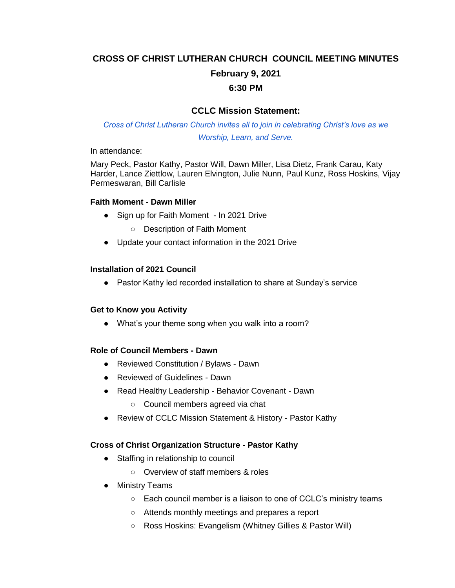# **CROSS OF CHRIST LUTHERAN CHURCH COUNCIL MEETING MINUTES February 9, 2021**

#### **6:30 PM**

# **CCLC Mission Statement:**

*Cross of Christ Lutheran Church invites all to join in celebrating Christ's love as we Worship, Learn, and Serve.*

In attendance:

Mary Peck, Pastor Kathy, Pastor Will, Dawn Miller, Lisa Dietz, Frank Carau, Katy Harder, Lance Ziettlow, Lauren Elvington, Julie Nunn, Paul Kunz, Ross Hoskins, Vijay Permeswaran, Bill Carlisle

#### **Faith Moment - Dawn Miller**

- Sign up for Faith Moment In 2021 Drive
	- Description of Faith Moment
- Update your contact information in the 2021 Drive

#### **Installation of 2021 Council**

● Pastor Kathy led recorded installation to share at Sunday's service

#### **Get to Know you Activity**

• What's your theme song when you walk into a room?

#### **Role of Council Members - Dawn**

- Reviewed Constitution / Bylaws Dawn
- Reviewed of Guidelines Dawn
- Read Healthy Leadership Behavior Covenant Dawn
	- Council members agreed via chat
- Review of CCLC Mission Statement & History Pastor Kathy

#### **Cross of Christ Organization Structure - Pastor Kathy**

- Staffing in relationship to council
	- Overview of staff members & roles
- Ministry Teams
	- Each council member is a liaison to one of CCLC's ministry teams
	- Attends monthly meetings and prepares a report
	- Ross Hoskins: Evangelism (Whitney Gillies & Pastor Will)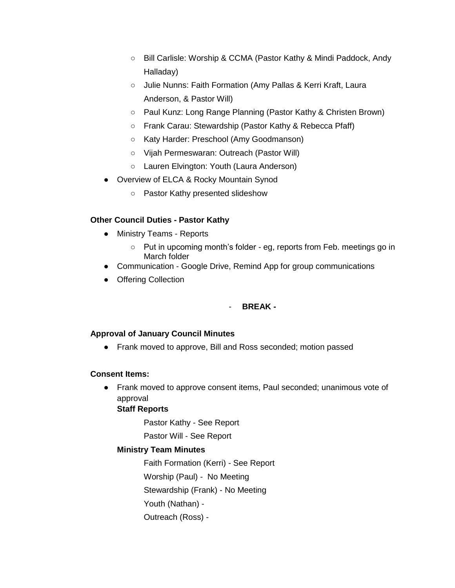- Bill Carlisle: Worship & CCMA (Pastor Kathy & Mindi Paddock, Andy Halladay)
- Julie Nunns: Faith Formation (Amy Pallas & Kerri Kraft, Laura Anderson, & Pastor Will)
- Paul Kunz: Long Range Planning (Pastor Kathy & Christen Brown)
- Frank Carau: Stewardship (Pastor Kathy & Rebecca Pfaff)
- Katy Harder: Preschool (Amy Goodmanson)
- Vijah Permeswaran: Outreach (Pastor Will)
- Lauren Elvington: Youth (Laura Anderson)
- Overview of ELCA & Rocky Mountain Synod
	- Pastor Kathy presented slideshow

# **Other Council Duties - Pastor Kathy**

- Ministry Teams Reports
	- Put in upcoming month's folder eg, reports from Feb. meetings go in March folder
- Communication Google Drive, Remind App for group communications
- Offering Collection

# - **BREAK -**

#### **Approval of January Council Minutes**

● Frank moved to approve, Bill and Ross seconded; motion passed

#### **Consent Items:**

● Frank moved to approve consent items, Paul seconded; unanimous vote of approval

# **Staff Reports**

Pastor Kathy - See Report

Pastor Will - See Report

#### **Ministry Team Minutes**

Faith Formation (Kerri) - See Report Worship (Paul) - No Meeting Stewardship (Frank) - No Meeting Youth (Nathan) - Outreach (Ross) -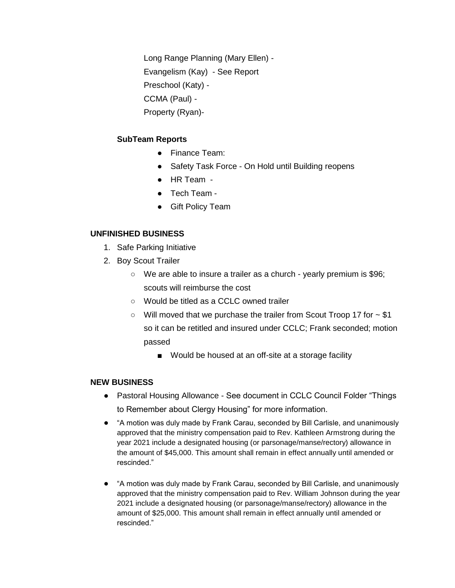Long Range Planning (Mary Ellen) - Evangelism (Kay) - See Report Preschool (Katy) - CCMA (Paul) - Property (Ryan)-

#### **SubTeam Reports**

- Finance Team:
- Safety Task Force On Hold until Building reopens
- HR Team -
- Tech Team -
- Gift Policy Team

#### **UNFINISHED BUSINESS**

- 1. Safe Parking Initiative
- 2. Boy Scout Trailer
	- $\circ$  We are able to insure a trailer as a church yearly premium is \$96; scouts will reimburse the cost
	- Would be titled as a CCLC owned trailer
	- Will moved that we purchase the trailer from Scout Troop 17 for ~ \$1 so it can be retitled and insured under CCLC; Frank seconded; motion passed
		- Would be housed at an off-site at a storage facility

#### **NEW BUSINESS**

- Pastoral Housing Allowance See document in CCLC Council Folder "Things to Remember about Clergy Housing" for more information.
- "A motion was duly made by Frank Carau, seconded by Bill Carlisle, and unanimously approved that the ministry compensation paid to Rev. Kathleen Armstrong during the year 2021 include a designated housing (or parsonage/manse/rectory) allowance in the amount of \$45,000. This amount shall remain in effect annually until amended or rescinded."
- "A motion was duly made by Frank Carau, seconded by Bill Carlisle, and unanimously approved that the ministry compensation paid to Rev. William Johnson during the year 2021 include a designated housing (or parsonage/manse/rectory) allowance in the amount of \$25,000. This amount shall remain in effect annually until amended or rescinded."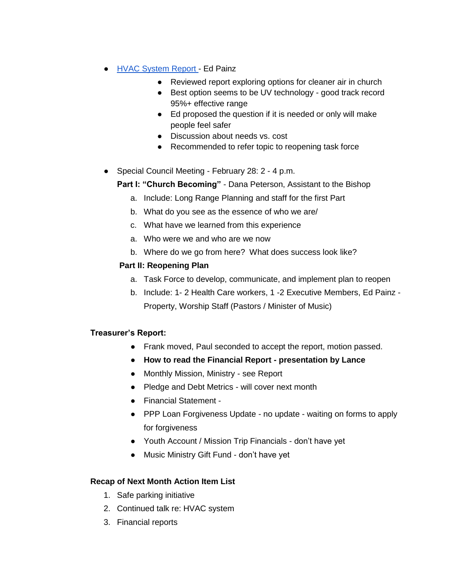- [HVAC System Report -](https://docs.google.com/document/d/1nxg0r7YynSz0w2IGDZcm0bAQ_ZNu6m9pNe79BLfSqx4/edit?usp=sharing) Ed Painz
	- Reviewed report exploring options for cleaner air in church
	- Best option seems to be UV technology good track record 95%+ effective range
	- Ed proposed the question if it is needed or only will make people feel safer
	- Discussion about needs vs. cost
	- Recommended to refer topic to reopening task force
- Special Council Meeting February 28: 2 4 p.m.

**Part I: "Church Becoming"** - Dana Peterson, Assistant to the Bishop

- a. Include: Long Range Planning and staff for the first Part
- b. What do you see as the essence of who we are/
- c. What have we learned from this experience
- a. Who were we and who are we now
- b. Where do we go from here? What does success look like?

# **Part II: Reopening Plan**

- a. Task Force to develop, communicate, and implement plan to reopen
- b. Include: 1- 2 Health Care workers, 1 -2 Executive Members, Ed Painz Property, Worship Staff (Pastors / Minister of Music)

#### **Treasurer's Report:**

- Frank moved, Paul seconded to accept the report, motion passed.
- **How to read the Financial Report - presentation by Lance**
- Monthly Mission, Ministry see Report
- Pledge and Debt Metrics will cover next month
- Financial Statement -
- PPP Loan Forgiveness Update no update waiting on forms to apply for forgiveness
- Youth Account / Mission Trip Financials don't have yet
- Music Ministry Gift Fund don't have yet

#### **Recap of Next Month Action Item List**

- 1. Safe parking initiative
- 2. Continued talk re: HVAC system
- 3. Financial reports